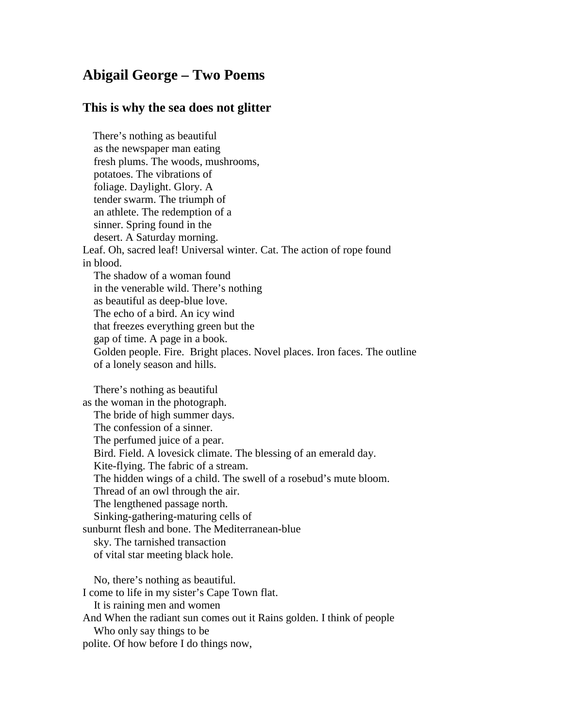## **Abigail George – Two Poems**

## **This is why the sea does not glitter**

There's nothing as beautiful as the newspaper man eating fresh plums. The woods, mushrooms, potatoes. The vibrations of foliage. Daylight. Glory. A tender swarm. The triumph of an athlete. The redemption of a sinner. Spring found in the desert. A Saturday morning. Leaf. Oh, sacred leaf! Universal winter. Cat. The action of rope found in blood. The shadow of a woman found in the venerable wild. There's nothing as beautiful as deep-blue love. The echo of a bird. An icy wind that freezes everything green but the gap of time. A page in a book. Golden people. Fire. Bright places. Novel places. Iron faces. The outline of a lonely season and hills. There's nothing as beautiful as the woman in the photograph.

The bride of high summer days. The confession of a sinner. The perfumed juice of a pear. Bird. Field. A lovesick climate. The blessing of an emerald day. Kite-flying. The fabric of a stream. The hidden wings of a child. The swell of a rosebud's mute bloom. Thread of an owl through the air. The lengthened passage north. Sinking-gathering-maturing cells of sunburnt flesh and bone. The Mediterranean-blue sky. The tarnished transaction of vital star meeting black hole.

No, there's nothing as beautiful. I come to life in my sister's Cape Town flat. It is raining men and women And When the radiant sun comes out it Rains golden. I think of people Who only say things to be polite. Of how before I do things now,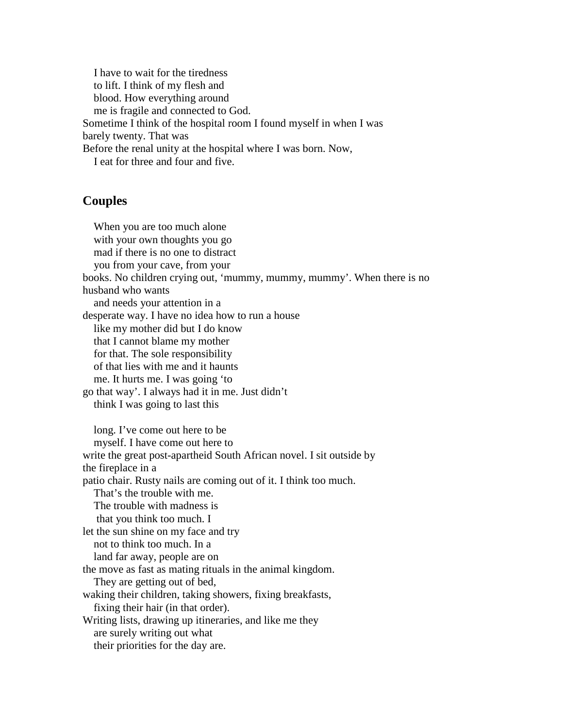I have to wait for the tiredness to lift. I think of my flesh and blood. How everything around me is fragile and connected to God. Sometime I think of the hospital room I found myself in when I was barely twenty. That was Before the renal unity at the hospital where I was born. Now, I eat for three and four and five.

## **Couples**

When you are too much alone with your own thoughts you go mad if there is no one to distract you from your cave, from your books. No children crying out, 'mummy, mummy, mummy'. When there is no husband who wants and needs your attention in a desperate way. I have no idea how to run a house like my mother did but I do know that I cannot blame my mother for that. The sole responsibility of that lies with me and it haunts me. It hurts me. I was going 'to go that way'. I always had it in me. Just didn't think I was going to last this long. I've come out here to be myself. I have come out here to write the great post-apartheid South African novel. I sit outside by the fireplace in a patio chair. Rusty nails are coming out of it. I think too much. That's the trouble with me. The trouble with madness is that you think too much. I let the sun shine on my face and try not to think too much. In a land far away, people are on the move as fast as mating rituals in the animal kingdom. They are getting out of bed, waking their children, taking showers, fixing breakfasts, fixing their hair (in that order). Writing lists, drawing up itineraries, and like me they are surely writing out what their priorities for the day are.